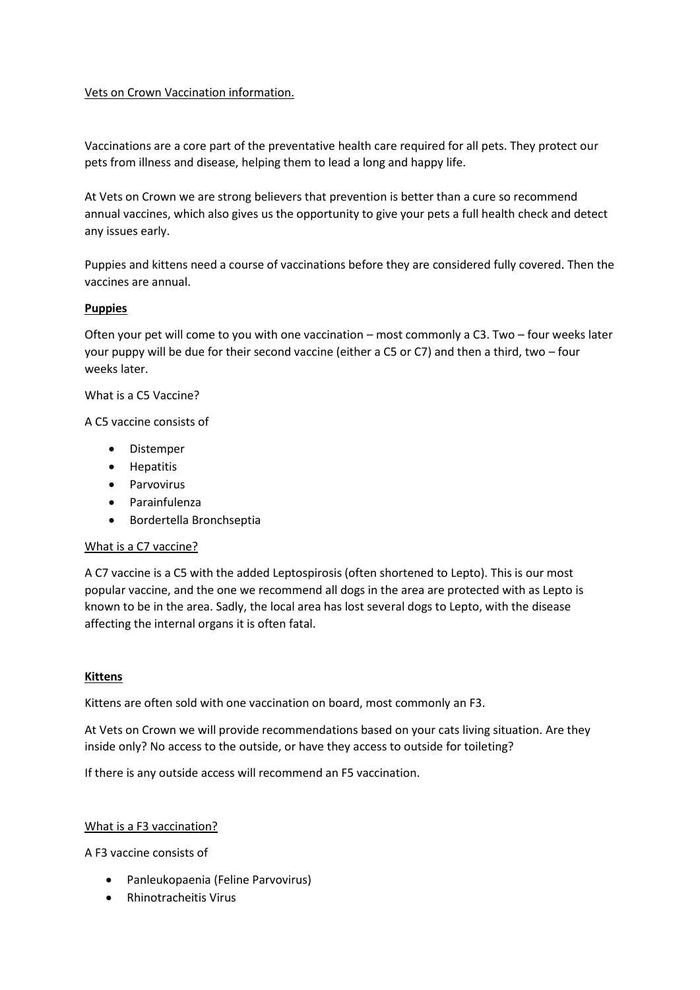# Vets on Crown Vaccination information.

Vaccinations are a core part of the preventative health care required for all pets. They protect our pets from illness and disease, helping them to lead a long and happy life.

At Vets on Crown we are strong believers that prevention is better than a cure so recommend annual vaccines, which also gives us the opportunity to give your pets a full health check and detect any issues early.

Puppies and kittens need a course of vaccinations before they are considered fully covered. Then the vaccines are annual.

### **Puppies**

Often your pet will come to you with one vaccination – most commonly a C3. Two – four weeks later your puppy will be due for their second vaccine (either a C5 or C7) and then a third, two – four weeks later.

# What is a C5 Vaccine?

A C5 vaccine consists of

- Distemper
- Hepatitis
- Parvovirus
- Parainfulenza
- Bordertella Bronchseptia

### What is a C7 vaccine?

A C7 vaccine is a C5 with the added Leptospirosis (often shortened to Lepto). This is our most popular vaccine, and the one we recommend all dogs in the area are protected with as Lepto is known to be in the area. Sadly, the local area has lost several dogs to Lepto, with the disease affecting the internal organs it is often fatal.

### **Kittens**

Kittens are often sold with one vaccination on board, most commonly an F3.

At Vets on Crown we will provide recommendations based on your cats living situation. Are they inside only? No access to the outside, or have they access to outside for toileting?

If there is any outside access will recommend an F5 vaccination.

### What is a F3 vaccination?

A F3 vaccine consists of

- Panleukopaenia (Feline Parvovirus)
- Rhinotracheitis Virus